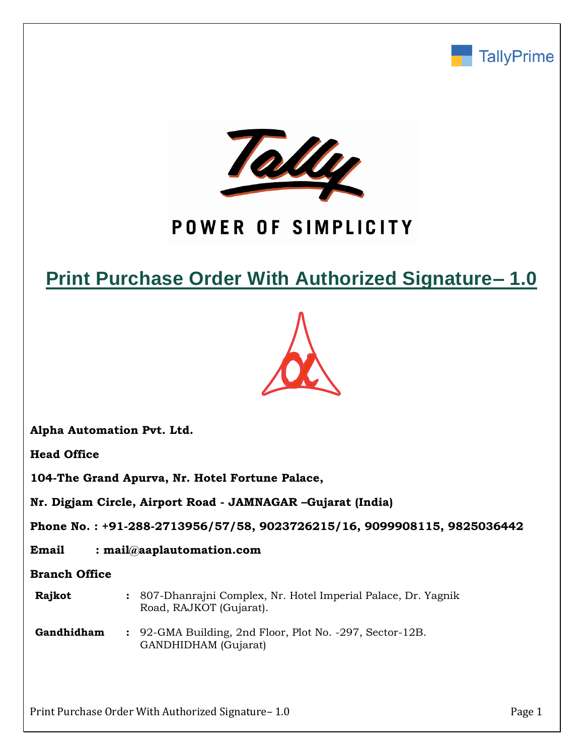



# POWER OF SIMPLICITY

# **Print Purchase Order With Authorized Signature– 1.0**



**Alpha Automation Pvt. Ltd.**

**Head Office**

**104-The Grand Apurva, Nr. Hotel Fortune Palace,**

**Nr. Digjam Circle, Airport Road - JAMNAGAR –Gujarat (India)**

**Phone No. : +91-288-2713956/57/58, 9023726215/16, 9099908115, 9825036442**

**Email : mail@aaplautomation.com**

**Branch Office**

- **Rajkot :** 807-Dhanrajni Complex, Nr. Hotel Imperial Palace, Dr. Yagnik Road, RAJKOT (Gujarat).
- **Gandhidham :** 92-GMA Building, 2nd Floor, Plot No. -297, Sector-12B. GANDHIDHAM (Gujarat)

Print Purchase Order With Authorized Signature– 1.0 Print Purchase Order With Authorized Signature– 1.0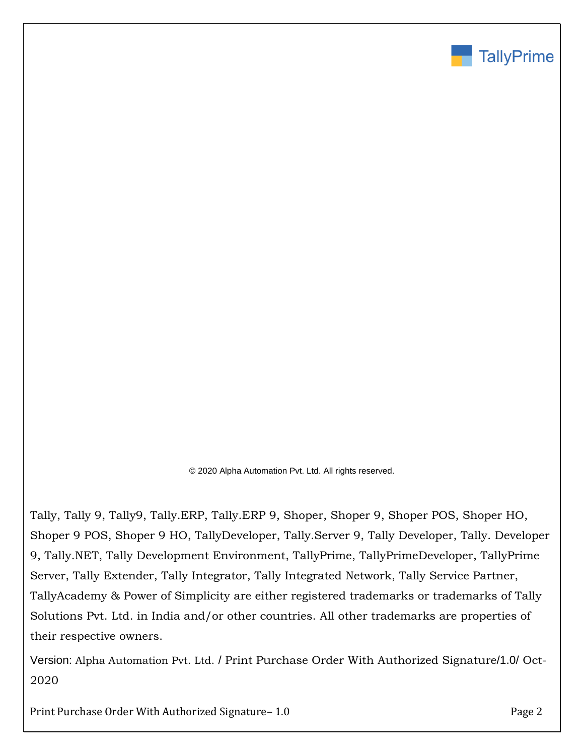

© 2020 Alpha Automation Pvt. Ltd. All rights reserved.

Tally, Tally 9, Tally9, Tally.ERP, Tally.ERP 9, Shoper, Shoper 9, Shoper POS, Shoper HO, Shoper 9 POS, Shoper 9 HO, TallyDeveloper, Tally.Server 9, Tally Developer, Tally. Developer 9, Tally.NET, Tally Development Environment, TallyPrime, TallyPrimeDeveloper, TallyPrime Server, Tally Extender, Tally Integrator, Tally Integrated Network, Tally Service Partner, TallyAcademy & Power of Simplicity are either registered trademarks or trademarks of Tally Solutions Pvt. Ltd. in India and/or other countries. All other trademarks are properties of their respective owners.

Version: Alpha Automation Pvt. Ltd. / Print Purchase Order With Authorized Signature/1.0/ Oct-2020

Print Purchase Order With Authorized Signature– 1.0 **Prince 2** Page 2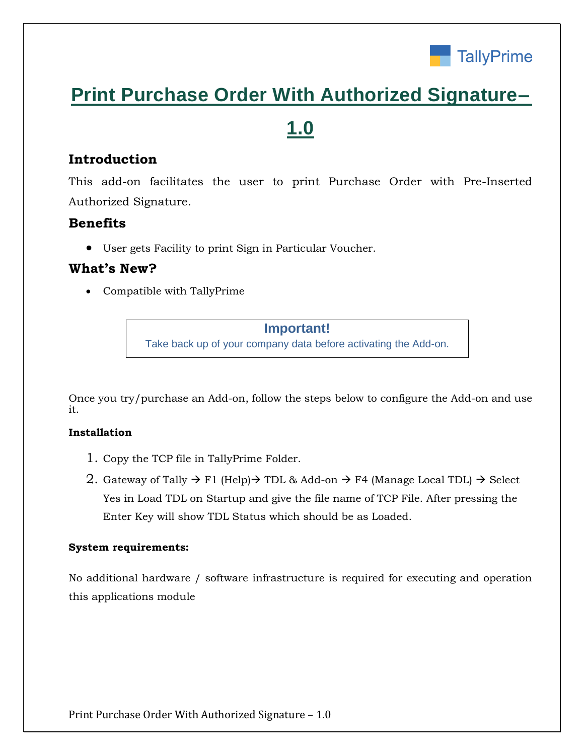

# **Print Purchase Order With Authorized Signature–**

# **1.0**

# **Introduction**

This add-on facilitates the user to print Purchase Order with Pre-Inserted Authorized Signature.

## **Benefits**

• User gets Facility to print Sign in Particular Voucher.

# **What's New?**

• Compatible with TallyPrime

**Important!** Take back up of your company data before activating the Add-on.

Once you try/purchase an Add-on, follow the steps below to configure the Add-on and use it.

## **Installation**

- 1. Copy the TCP file in TallyPrime Folder.
- 2. Gateway of Tally  $\rightarrow$  F1 (Help) $\rightarrow$  TDL & Add-on  $\rightarrow$  F4 (Manage Local TDL)  $\rightarrow$  Select Yes in Load TDL on Startup and give the file name of TCP File. After pressing the Enter Key will show TDL Status which should be as Loaded.

### **System requirements:**

No additional hardware / software infrastructure is required for executing and operation this applications module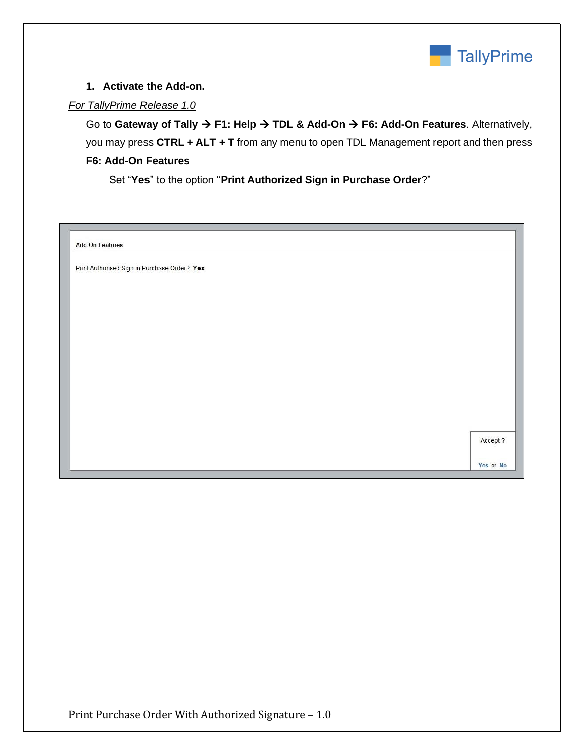

### **1. Activate the Add-on.**

### *For TallyPrime Release 1.0*

Go to **Gateway of Tally** → **F1: Help** → **TDL & Add-On** → **F6: Add-On Features**. Alternatively, you may press **CTRL + ALT + T** from any menu to open TDL Management report and then press **F6: Add-On Features**

Set "**Yes**" to the option "**Print Authorized Sign in Purchase Order**?"

| <b>Add-On Features</b>                       |          |
|----------------------------------------------|----------|
| Print Authorised Sign in Purchase Order? Yes |          |
|                                              |          |
|                                              |          |
|                                              |          |
|                                              |          |
|                                              |          |
|                                              |          |
|                                              |          |
|                                              |          |
|                                              |          |
|                                              |          |
|                                              | Accept ? |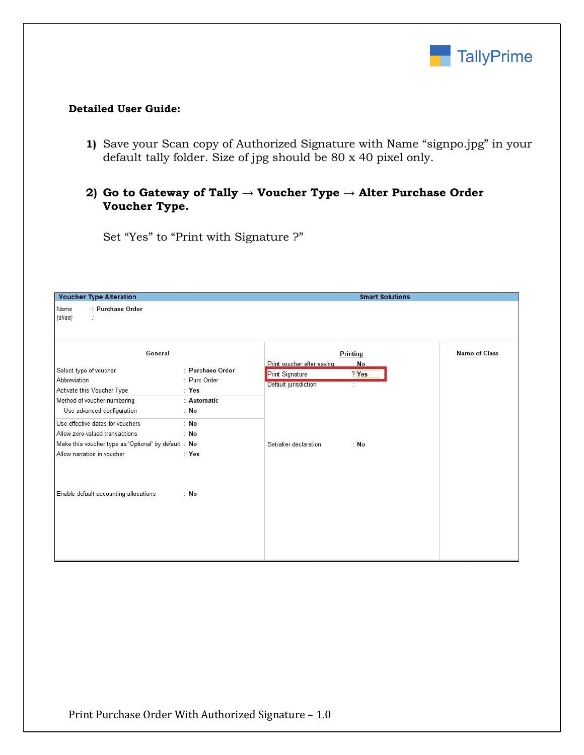

### **Detailed User Guide:**

**1)** Save your Scan copy of Authorized Signature with Name "signpo.jpg" in your default tally folder. Size of jpg should be 80 x 40 pixel only.

## **2) Go to Gateway of Tally → Voucher Type → Alter Purchase Order Voucher Type.**

Set "Yes" to "Print with Signature ?"

| <b>Voucher Type Alteration</b>                                                                                                                           |                                  | <b>Smart Solutions</b>                                                     |                      |  |  |  |  |
|----------------------------------------------------------------------------------------------------------------------------------------------------------|----------------------------------|----------------------------------------------------------------------------|----------------------|--|--|--|--|
| : Purchase Order<br>Name<br>(alias)<br>ž.                                                                                                                |                                  |                                                                            |                      |  |  |  |  |
| General<br>Select type of voucher<br>Abbreviation                                                                                                        | : Purchase Order<br>: Purc Order | Printing<br>Print voucher after saving<br>: No<br>Print Signature<br>? Yes | <b>Name of Class</b> |  |  |  |  |
| Activate this Voucher Type<br>Method of voucher numbering<br>Use advanced configuration                                                                  | : Yes<br>: Automatic<br>: No     | Default jurisdiction<br>t,                                                 |                      |  |  |  |  |
| Use effective dates for vouchers<br>Allow zero-valued transactions<br>Make this voucher type as 'Optional' by default : No<br>Allow narration in voucher | : No<br>: No<br>: Yes            | Set/alter declaration<br>: No                                              |                      |  |  |  |  |
| Enable default accounting allocations                                                                                                                    | : No                             |                                                                            |                      |  |  |  |  |
|                                                                                                                                                          |                                  |                                                                            |                      |  |  |  |  |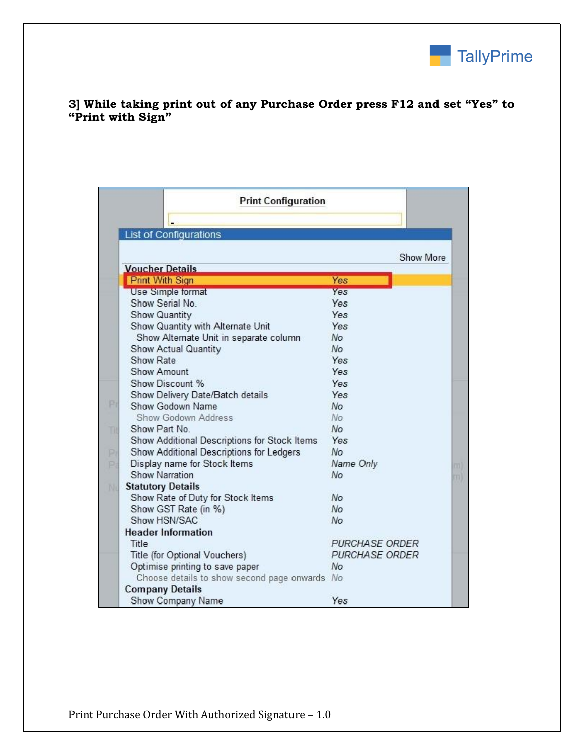

### **3] While taking print out of any Purchase Order press F12 and set "Yes" to "Print with Sign"**

|     | <b>Print Configuration</b>                   |                       |    |
|-----|----------------------------------------------|-----------------------|----|
|     | <b>List of Configurations</b>                |                       |    |
|     |                                              |                       |    |
|     |                                              | Show More             |    |
|     | <b>Voucher Details</b>                       |                       |    |
|     | <b>Print With Sign</b>                       | Yes                   |    |
|     | <b>Use Simple format</b>                     | Yes                   |    |
|     | Show Serial No.                              | Yes                   |    |
|     | Show Quantity                                | Yes                   |    |
|     | Show Quantity with Alternate Unit            | Yes                   |    |
|     | Show Alternate Unit in separate column       | No                    |    |
|     | Show Actual Quantity                         | No                    |    |
|     | Show Rate                                    | Yes                   |    |
|     | Show Amount                                  | Yes                   |    |
|     | Show Discount %                              | Yes                   |    |
|     | Show Delivery Date/Batch details             | Yes                   |    |
| Ρı  | Show Godown Name                             | No.                   |    |
|     | Show Godown Address                          | No                    |    |
| Til | Show Part No.                                | No                    |    |
|     | Show Additional Descriptions for Stock Items | Yes                   |    |
| Ρı  | Show Additional Descriptions for Ledgers     | No.                   |    |
| p;  | Display name for Stock Items                 | Name Only             | ml |
|     | <b>Show Narration</b>                        | No                    | m  |
| Νť  | <b>Statutory Details</b>                     |                       |    |
|     | Show Rate of Duty for Stock Items            | No                    |    |
|     | Show GST Rate (in %)                         | No                    |    |
|     | Show HSN/SAC                                 | No                    |    |
|     | <b>Header Information</b>                    |                       |    |
|     | Title                                        | <b>PURCHASE ORDER</b> |    |
|     | Title (for Optional Vouchers)                | <b>PURCHASE ORDER</b> |    |
|     | Optimise printing to save paper              | No                    |    |
|     | Choose details to show second page onwards   | No                    |    |
|     | <b>Company Details</b>                       |                       |    |
|     | Show Company Name                            | Yes                   |    |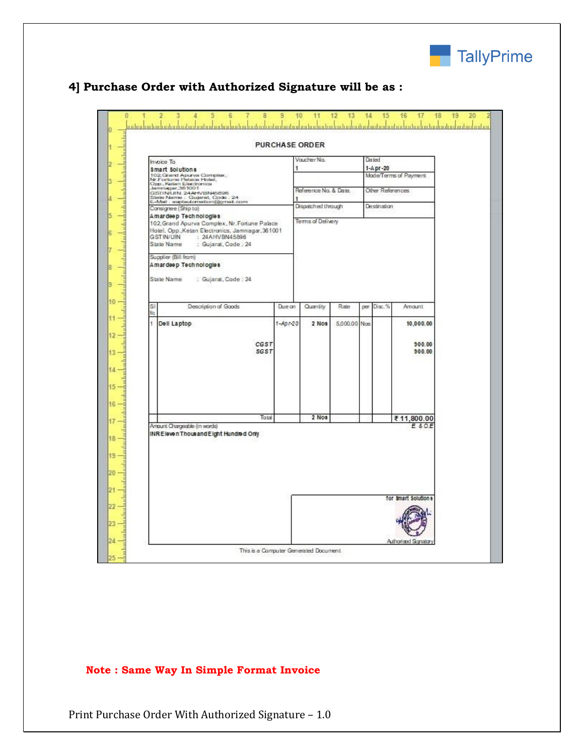

|                                                                                              |                                                                                                       |            | <b>PURCHASE ORDER</b> |              |     |                  |                       |  |
|----------------------------------------------------------------------------------------------|-------------------------------------------------------------------------------------------------------|------------|-----------------------|--------------|-----|------------------|-----------------------|--|
|                                                                                              | Invoice To                                                                                            |            | Vaucher No.           |              |     | Desteed          |                       |  |
|                                                                                              | \$mart \$olutions                                                                                     |            |                       |              |     | 1-A pr-20        |                       |  |
|                                                                                              | 102, Grand Apurva Complex,<br>Nr.Forlume Palace Holel,<br>Opp., Kelam Electronics<br>Jammeper,36 1001 |            |                       |              |     |                  | Mode/Terms of Payment |  |
|                                                                                              |                                                                                                       |            | Reference No. & Date. |              |     | Other References |                       |  |
|                                                                                              | GSTINUIN. 24AHVBN45898                                                                                |            |                       |              |     |                  |                       |  |
| Sitate Nerrie: Gujarat, Code : 24<br>E-Mel : augstautomation@gmel.com<br>Consignee (Ship to) |                                                                                                       |            | Dispatched through    |              |     | Desination       |                       |  |
|                                                                                              | A mardeep Technologies                                                                                |            |                       |              |     |                  |                       |  |
|                                                                                              | 102, Grand Apurva Complex, Nr. Fortune Palace                                                         |            | Terms of Delivery     |              |     |                  |                       |  |
|                                                                                              | Hotel, Opp., Ketan Electronics, Jamnagar, 361001                                                      |            |                       |              |     |                  |                       |  |
|                                                                                              | <b>GST IN/UIN</b><br>: 24AHVBN45896<br>State Name<br>: Gujarat, Code : 24                             |            |                       |              |     |                  |                       |  |
|                                                                                              |                                                                                                       |            |                       |              |     |                  |                       |  |
|                                                                                              | Supplier (Bill from)                                                                                  |            |                       |              |     |                  |                       |  |
|                                                                                              | A mar deep Tech nologies                                                                              |            |                       |              |     |                  |                       |  |
|                                                                                              | State Name<br>: Gujarat, Code: 24                                                                     |            |                       |              |     |                  |                       |  |
|                                                                                              |                                                                                                       |            |                       |              |     |                  |                       |  |
|                                                                                              |                                                                                                       |            |                       |              |     |                  |                       |  |
| SI                                                                                           | Description of Goods                                                                                  | Due on:    | Quantity              | Rate         | per | Disc.%           | Amount                |  |
| No                                                                                           |                                                                                                       |            |                       |              |     |                  |                       |  |
| $\mathbf{t}$                                                                                 | Dell Laptop                                                                                           | $1-Apr-20$ | 2 Nos                 | 5.000.00 Nos |     |                  | 10,000.00             |  |
|                                                                                              |                                                                                                       |            |                       |              |     |                  |                       |  |
|                                                                                              |                                                                                                       |            |                       |              |     |                  |                       |  |
|                                                                                              | CGST                                                                                                  |            |                       |              |     |                  | 900.00                |  |
|                                                                                              | <b>SGST</b>                                                                                           |            |                       |              |     |                  | 900.00                |  |
|                                                                                              |                                                                                                       |            |                       |              |     |                  |                       |  |
|                                                                                              |                                                                                                       |            |                       |              |     |                  |                       |  |
|                                                                                              |                                                                                                       |            |                       |              |     |                  |                       |  |
|                                                                                              |                                                                                                       |            |                       |              |     |                  |                       |  |
|                                                                                              |                                                                                                       |            |                       |              |     |                  |                       |  |
|                                                                                              |                                                                                                       |            |                       |              |     |                  |                       |  |
|                                                                                              | Total                                                                                                 |            | $2$ Nos               |              |     |                  | ₹11,800.00            |  |
|                                                                                              | Amaunt Chargeable (in words)                                                                          |            |                       |              |     |                  | E & O.E               |  |
|                                                                                              | INREleven Thousand Eight Hundred Only                                                                 |            |                       |              |     |                  |                       |  |
|                                                                                              |                                                                                                       |            |                       |              |     |                  |                       |  |
|                                                                                              |                                                                                                       |            |                       |              |     |                  |                       |  |
|                                                                                              |                                                                                                       |            |                       |              |     |                  |                       |  |
|                                                                                              |                                                                                                       |            |                       |              |     |                  |                       |  |
|                                                                                              |                                                                                                       |            |                       |              |     |                  |                       |  |
|                                                                                              |                                                                                                       |            |                       |              |     |                  |                       |  |
|                                                                                              |                                                                                                       |            |                       |              |     |                  | for Smart Solutions   |  |
|                                                                                              |                                                                                                       |            |                       |              |     |                  |                       |  |
|                                                                                              |                                                                                                       |            |                       |              |     |                  |                       |  |
|                                                                                              |                                                                                                       |            |                       |              |     |                  |                       |  |
|                                                                                              |                                                                                                       |            |                       |              |     |                  |                       |  |
|                                                                                              |                                                                                                       |            |                       |              |     |                  |                       |  |

# **4] Purchase Order with Authorized Signature will be as :**

## **Note : Same Way In Simple Format Invoice**

Print Purchase Order With Authorized Signature – 1.0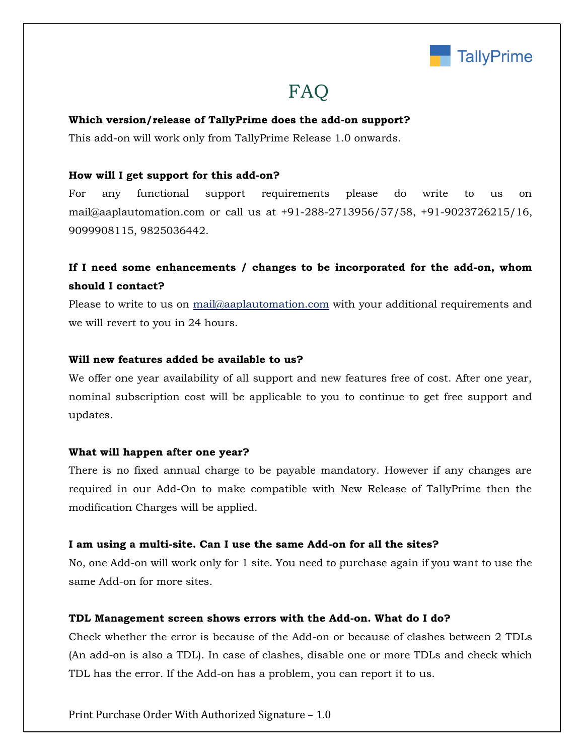

# FAQ

#### **Which version/release of TallyPrime does the add-on support?**

This add-on will work only from TallyPrime Release 1.0 onwards.

#### **How will I get support for this add-on?**

For any functional support requirements please do write to us on mail@aaplautomation.com or call us at +91-288-2713956/57/58, +91-9023726215/16, 9099908115, 9825036442.

# **If I need some enhancements / changes to be incorporated for the add-on, whom should I contact?**

Please to write to us on mail@aaplautomation.com with your additional requirements and we will revert to you in 24 hours.

#### **Will new features added be available to us?**

We offer one year availability of all support and new features free of cost. After one year, nominal subscription cost will be applicable to you to continue to get free support and updates.

#### **What will happen after one year?**

There is no fixed annual charge to be payable mandatory. However if any changes are required in our Add-On to make compatible with New Release of TallyPrime then the modification Charges will be applied.

#### **I am using a multi-site. Can I use the same Add-on for all the sites?**

No, one Add-on will work only for 1 site. You need to purchase again if you want to use the same Add-on for more sites.

#### **TDL Management screen shows errors with the Add-on. What do I do?**

Check whether the error is because of the Add-on or because of clashes between 2 TDLs (An add-on is also a TDL). In case of clashes, disable one or more TDLs and check which TDL has the error. If the Add-on has a problem, you can report it to us.